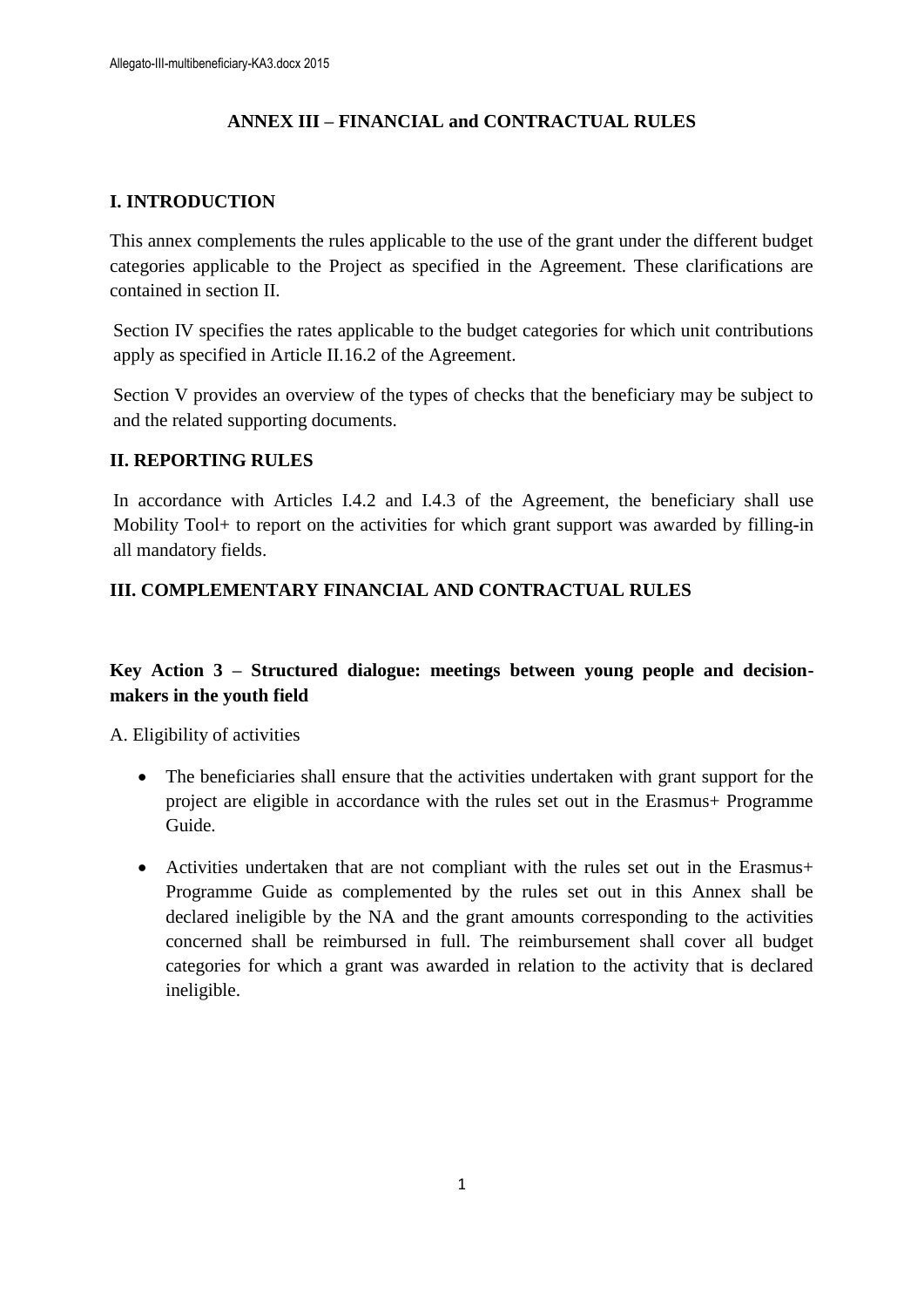## **ANNEX III – FINANCIAL and CONTRACTUAL RULES**

## **I. INTRODUCTION**

This annex complements the rules applicable to the use of the grant under the different budget categories applicable to the Project as specified in the Agreement. These clarifications are contained in section II.

Section IV specifies the rates applicable to the budget categories for which unit contributions apply as specified in Article II.16.2 of the Agreement.

Section V provides an overview of the types of checks that the beneficiary may be subject to and the related supporting documents.

#### **II. REPORTING RULES**

In accordance with Articles I.4.2 and I.4.3 of the Agreement, the beneficiary shall use Mobility Tool+ to report on the activities for which grant support was awarded by filling-in all mandatory fields.

#### **III. COMPLEMENTARY FINANCIAL AND CONTRACTUAL RULES**

## **Key Action 3 – Structured dialogue: meetings between young people and decisionmakers in the youth field**

A. Eligibility of activities

- The beneficiaries shall ensure that the activities undertaken with grant support for the project are eligible in accordance with the rules set out in the Erasmus+ Programme Guide.
- Activities undertaken that are not compliant with the rules set out in the Erasmus+ Programme Guide as complemented by the rules set out in this Annex shall be declared ineligible by the NA and the grant amounts corresponding to the activities concerned shall be reimbursed in full. The reimbursement shall cover all budget categories for which a grant was awarded in relation to the activity that is declared ineligible.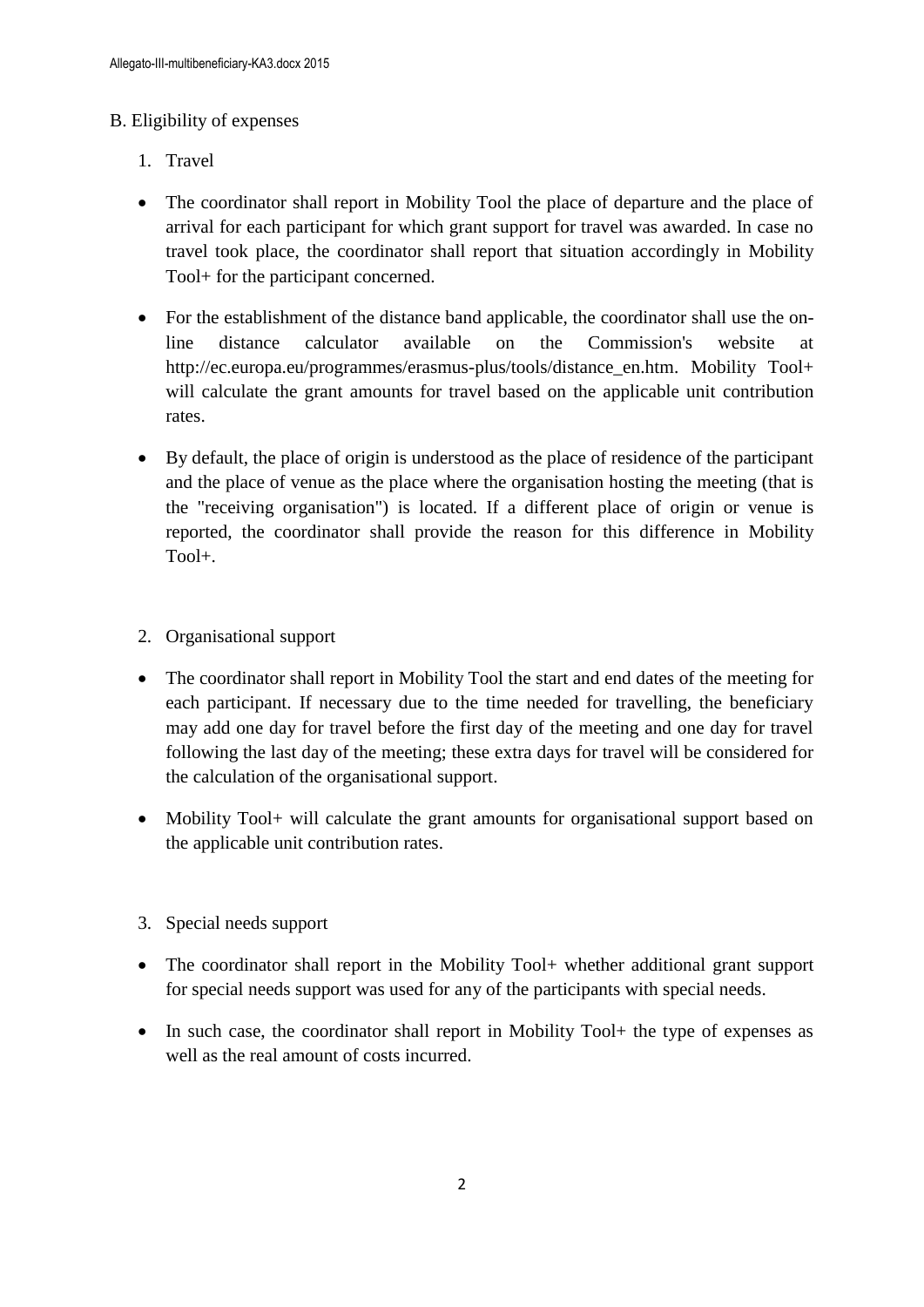#### B. Eligibility of expenses

- 1. Travel
- The coordinator shall report in Mobility Tool the place of departure and the place of arrival for each participant for which grant support for travel was awarded. In case no travel took place, the coordinator shall report that situation accordingly in Mobility Tool+ for the participant concerned.
- For the establishment of the distance band applicable, the coordinator shall use the online distance calculator available on the Commission's website at http://ec.europa.eu/programmes/erasmus-plus/tools/distance\_en.htm. Mobility Tool+ will calculate the grant amounts for travel based on the applicable unit contribution rates.
- By default, the place of origin is understood as the place of residence of the participant and the place of venue as the place where the organisation hosting the meeting (that is the "receiving organisation") is located. If a different place of origin or venue is reported, the coordinator shall provide the reason for this difference in Mobility Tool+.
- 2. Organisational support
- The coordinator shall report in Mobility Tool the start and end dates of the meeting for each participant. If necessary due to the time needed for travelling, the beneficiary may add one day for travel before the first day of the meeting and one day for travel following the last day of the meeting; these extra days for travel will be considered for the calculation of the organisational support.
- Mobility Tool+ will calculate the grant amounts for organisational support based on the applicable unit contribution rates.
- 3. Special needs support
- The coordinator shall report in the Mobility Tool+ whether additional grant support for special needs support was used for any of the participants with special needs.
- In such case, the coordinator shall report in Mobility Tool+ the type of expenses as well as the real amount of costs incurred.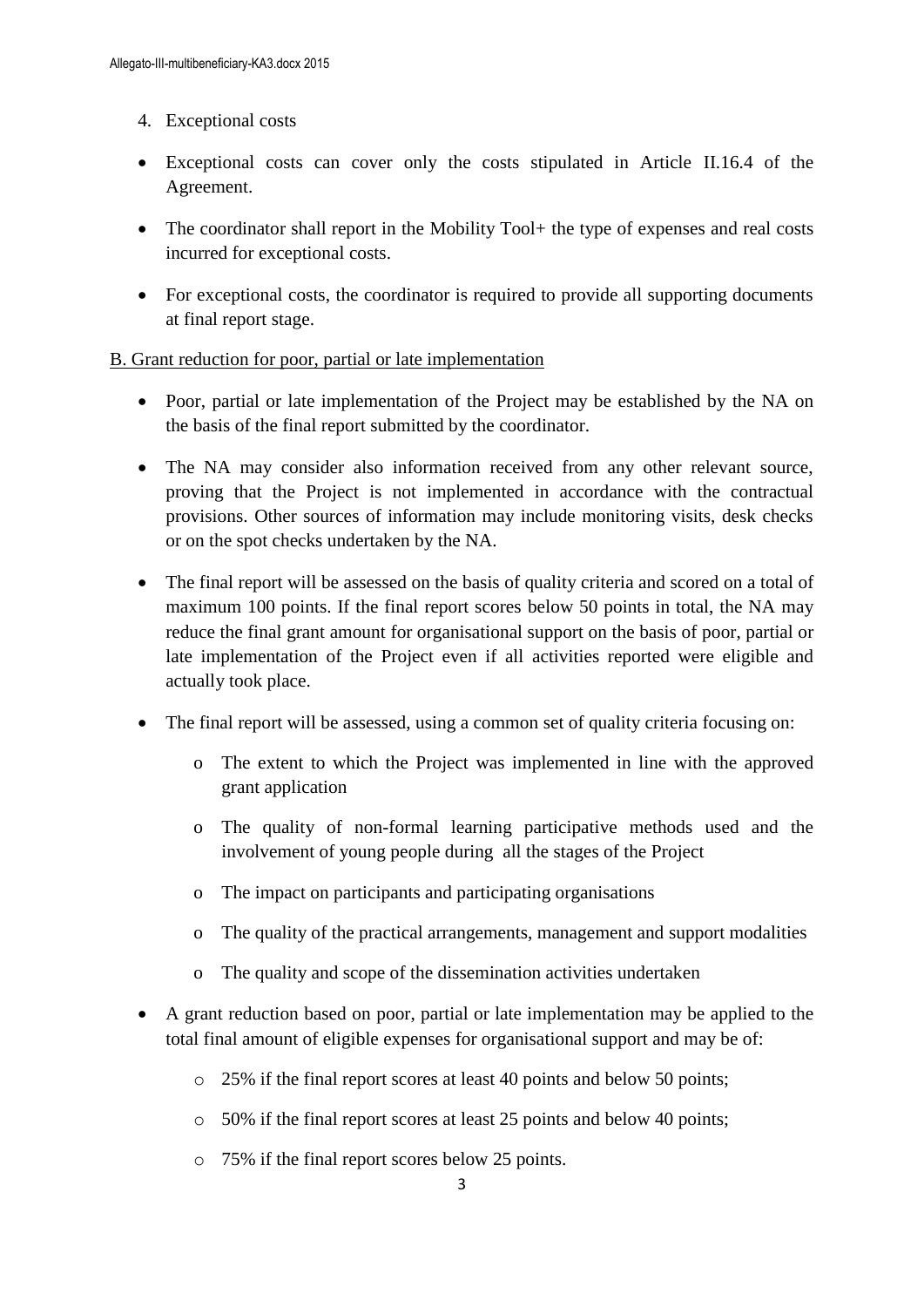- 4. Exceptional costs
- Exceptional costs can cover only the costs stipulated in Article II.16.4 of the Agreement.
- The coordinator shall report in the Mobility Tool+ the type of expenses and real costs incurred for exceptional costs.
- For exceptional costs, the coordinator is required to provide all supporting documents at final report stage.

#### B. Grant reduction for poor, partial or late implementation

- Poor, partial or late implementation of the Project may be established by the NA on the basis of the final report submitted by the coordinator.
- The NA may consider also information received from any other relevant source, proving that the Project is not implemented in accordance with the contractual provisions. Other sources of information may include monitoring visits, desk checks or on the spot checks undertaken by the NA.
- The final report will be assessed on the basis of quality criteria and scored on a total of maximum 100 points. If the final report scores below 50 points in total, the NA may reduce the final grant amount for organisational support on the basis of poor, partial or late implementation of the Project even if all activities reported were eligible and actually took place.
- The final report will be assessed, using a common set of quality criteria focusing on:
	- o The extent to which the Project was implemented in line with the approved grant application
	- o The quality of non-formal learning participative methods used and the involvement of young people during all the stages of the Project
	- o The impact on participants and participating organisations
	- o The quality of the practical arrangements, management and support modalities
	- o The quality and scope of the dissemination activities undertaken
- A grant reduction based on poor, partial or late implementation may be applied to the total final amount of eligible expenses for organisational support and may be of:
	- o 25% if the final report scores at least 40 points and below 50 points;
	- o 50% if the final report scores at least 25 points and below 40 points;
	- o 75% if the final report scores below 25 points.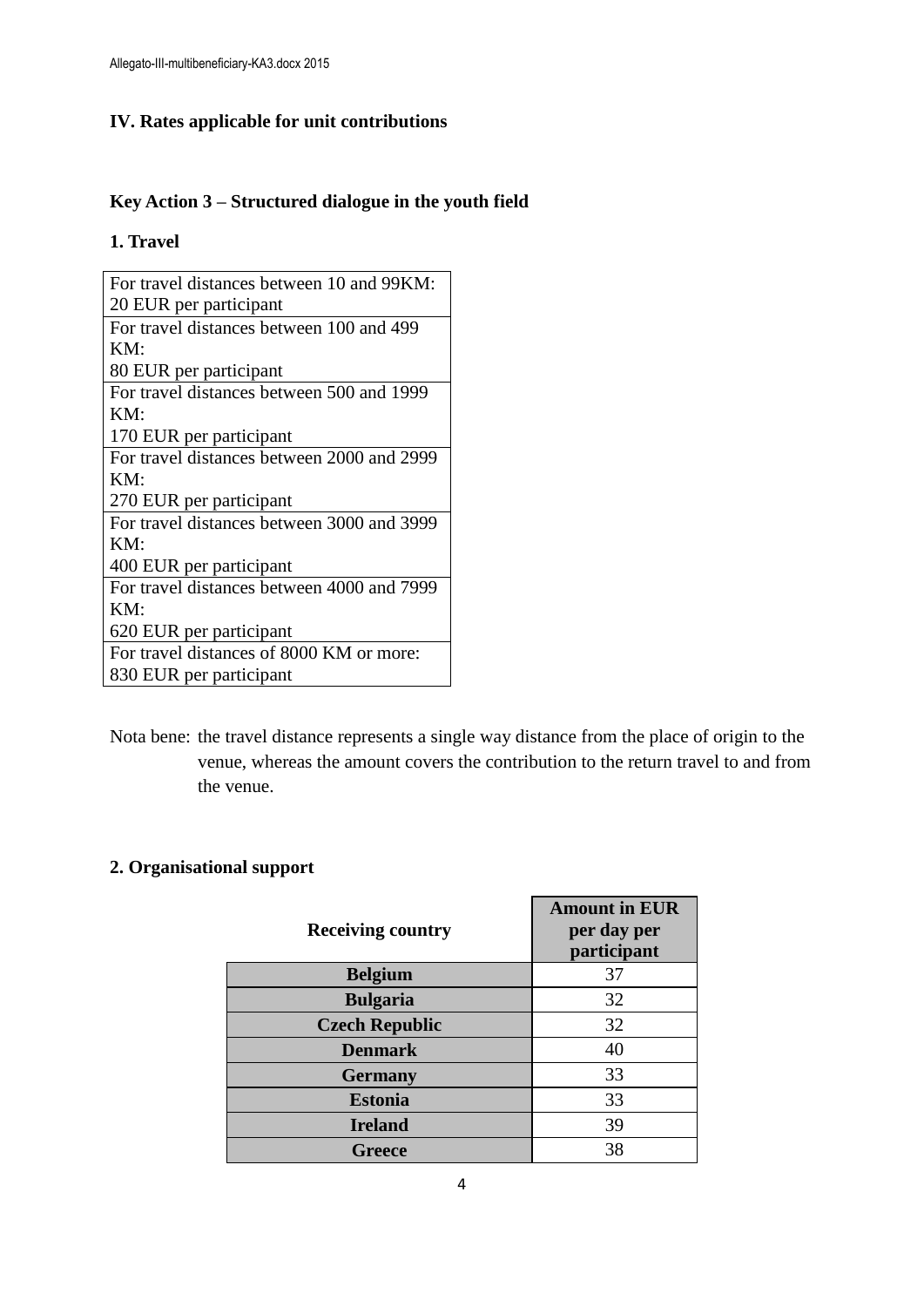# **IV. Rates applicable for unit contributions**

# **Key Action 3 – Structured dialogue in the youth field**

#### **1. Travel**

| For travel distances between 10 and 99KM:  |
|--------------------------------------------|
| 20 EUR per participant                     |
| For travel distances between 100 and 499   |
| KM:                                        |
| 80 EUR per participant                     |
| For travel distances between 500 and 1999  |
| KM:                                        |
| 170 EUR per participant                    |
| For travel distances between 2000 and 2999 |
| KM:                                        |
| 270 EUR per participant                    |
| For travel distances between 3000 and 3999 |
| KM:                                        |
| 400 EUR per participant                    |
| For travel distances between 4000 and 7999 |
| KM:                                        |
| 620 EUR per participant                    |
| For travel distances of 8000 KM or more:   |
| 830 EUR per participant                    |

Nota bene: the travel distance represents a single way distance from the place of origin to the venue, whereas the amount covers the contribution to the return travel to and from the venue.

# **2. Organisational support**

| <b>Receiving country</b> | <b>Amount in EUR</b><br>per day per<br>participant |
|--------------------------|----------------------------------------------------|
| <b>Belgium</b>           | 37                                                 |
| <b>Bulgaria</b>          | 32                                                 |
| <b>Czech Republic</b>    | 32                                                 |
| <b>Denmark</b>           | 40                                                 |
| <b>Germany</b>           | 33                                                 |
| <b>Estonia</b>           | 33                                                 |
| <b>Ireland</b>           | 39                                                 |
| Greece                   | 38                                                 |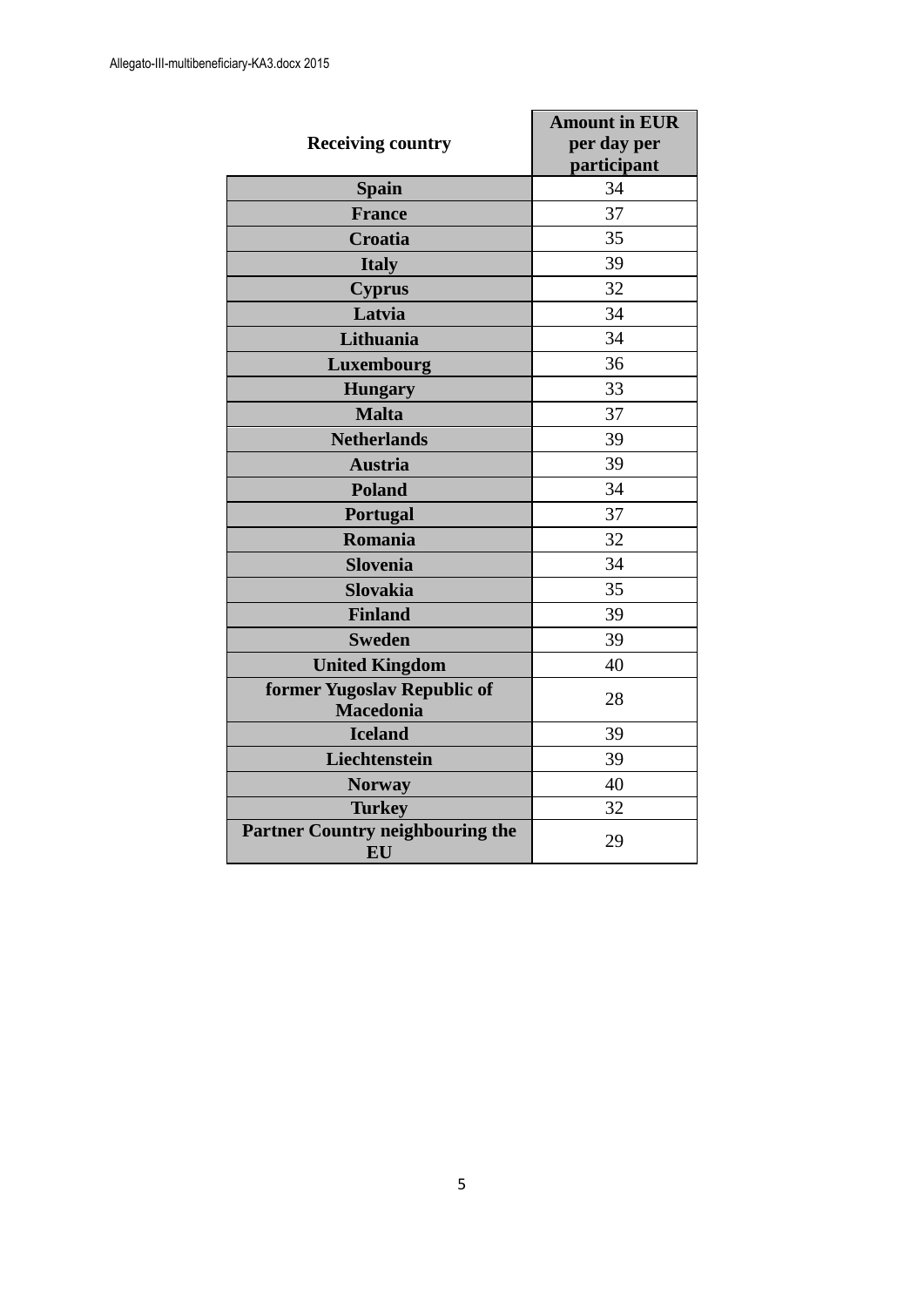| <b>Receiving country</b>                        | <b>Amount in EUR</b><br>per day per<br>participant |
|-------------------------------------------------|----------------------------------------------------|
| <b>Spain</b>                                    | 34                                                 |
| <b>France</b>                                   | 37                                                 |
| Croatia                                         | 35                                                 |
| <b>Italy</b>                                    | 39                                                 |
| <b>Cyprus</b>                                   | 32                                                 |
| Latvia                                          | 34                                                 |
| Lithuania                                       | 34                                                 |
| Luxembourg                                      | 36                                                 |
| <b>Hungary</b>                                  | 33                                                 |
| <b>Malta</b>                                    | 37                                                 |
| <b>Netherlands</b>                              | 39                                                 |
| <b>Austria</b>                                  | 39                                                 |
| <b>Poland</b>                                   | 34                                                 |
| <b>Portugal</b>                                 | 37                                                 |
| Romania                                         | 32                                                 |
| <b>Slovenia</b>                                 | 34                                                 |
| <b>Slovakia</b>                                 | 35                                                 |
| <b>Finland</b>                                  | 39                                                 |
| <b>Sweden</b>                                   | 39                                                 |
| <b>United Kingdom</b>                           | 40                                                 |
| former Yugoslav Republic of<br><b>Macedonia</b> | 28                                                 |
| <b>Iceland</b>                                  | 39                                                 |
| Liechtenstein                                   | 39                                                 |
| <b>Norway</b>                                   | 40                                                 |
| <b>Turkey</b>                                   | 32                                                 |
| <b>Partner Country neighbouring the</b><br>EU   | 29                                                 |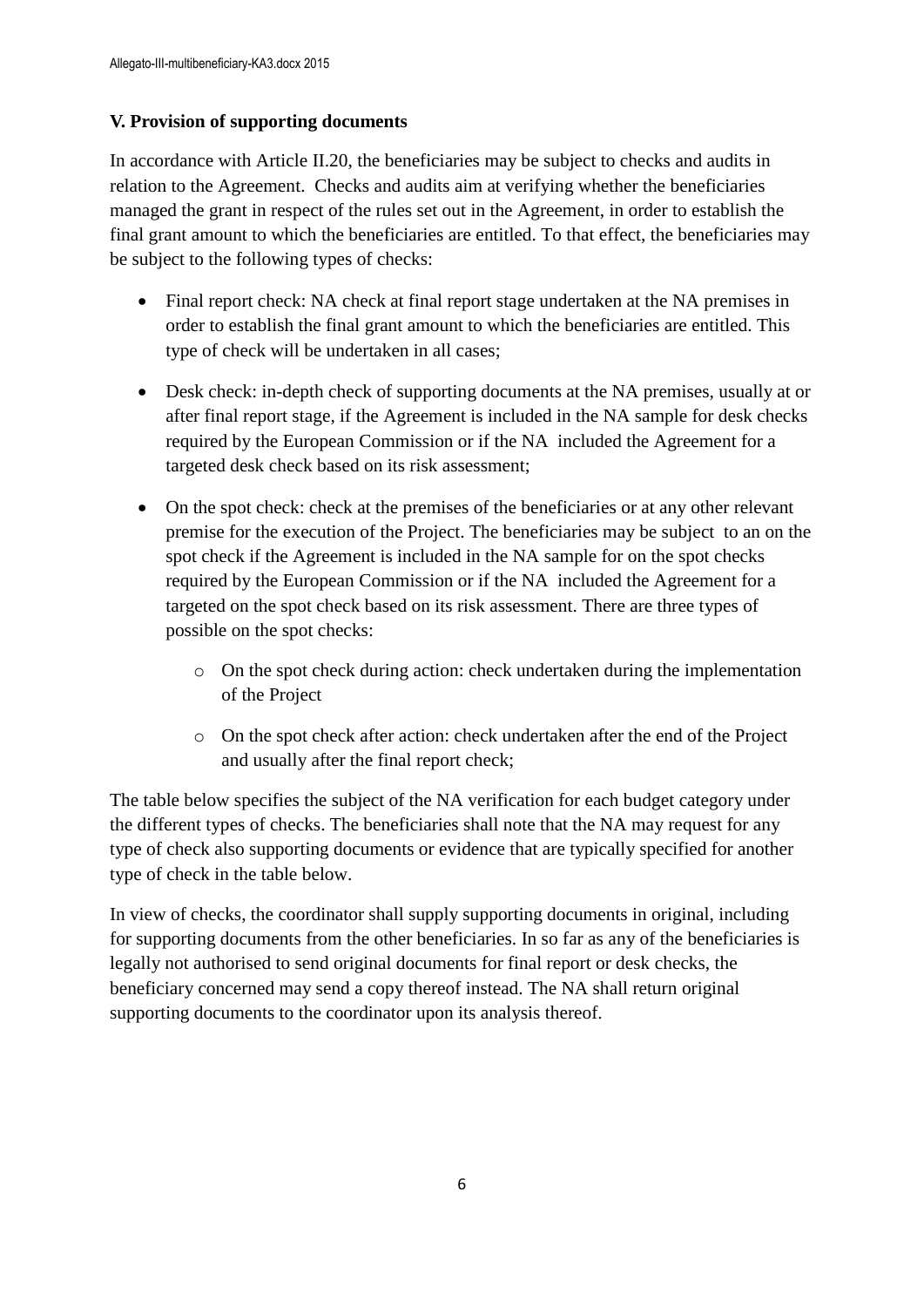#### **V. Provision of supporting documents**

In accordance with Article II.20, the beneficiaries may be subject to checks and audits in relation to the Agreement. Checks and audits aim at verifying whether the beneficiaries managed the grant in respect of the rules set out in the Agreement, in order to establish the final grant amount to which the beneficiaries are entitled. To that effect, the beneficiaries may be subject to the following types of checks:

- Final report check: NA check at final report stage undertaken at the NA premises in order to establish the final grant amount to which the beneficiaries are entitled. This type of check will be undertaken in all cases;
- Desk check: in-depth check of supporting documents at the NA premises, usually at or after final report stage, if the Agreement is included in the NA sample for desk checks required by the European Commission or if the NA included the Agreement for a targeted desk check based on its risk assessment;
- On the spot check: check at the premises of the beneficiaries or at any other relevant premise for the execution of the Project. The beneficiaries may be subject to an on the spot check if the Agreement is included in the NA sample for on the spot checks required by the European Commission or if the NA included the Agreement for a targeted on the spot check based on its risk assessment. There are three types of possible on the spot checks:
	- o On the spot check during action: check undertaken during the implementation of the Project
	- o On the spot check after action: check undertaken after the end of the Project and usually after the final report check;

The table below specifies the subject of the NA verification for each budget category under the different types of checks. The beneficiaries shall note that the NA may request for any type of check also supporting documents or evidence that are typically specified for another type of check in the table below.

In view of checks, the coordinator shall supply supporting documents in original, including for supporting documents from the other beneficiaries. In so far as any of the beneficiaries is legally not authorised to send original documents for final report or desk checks, the beneficiary concerned may send a copy thereof instead. The NA shall return original supporting documents to the coordinator upon its analysis thereof.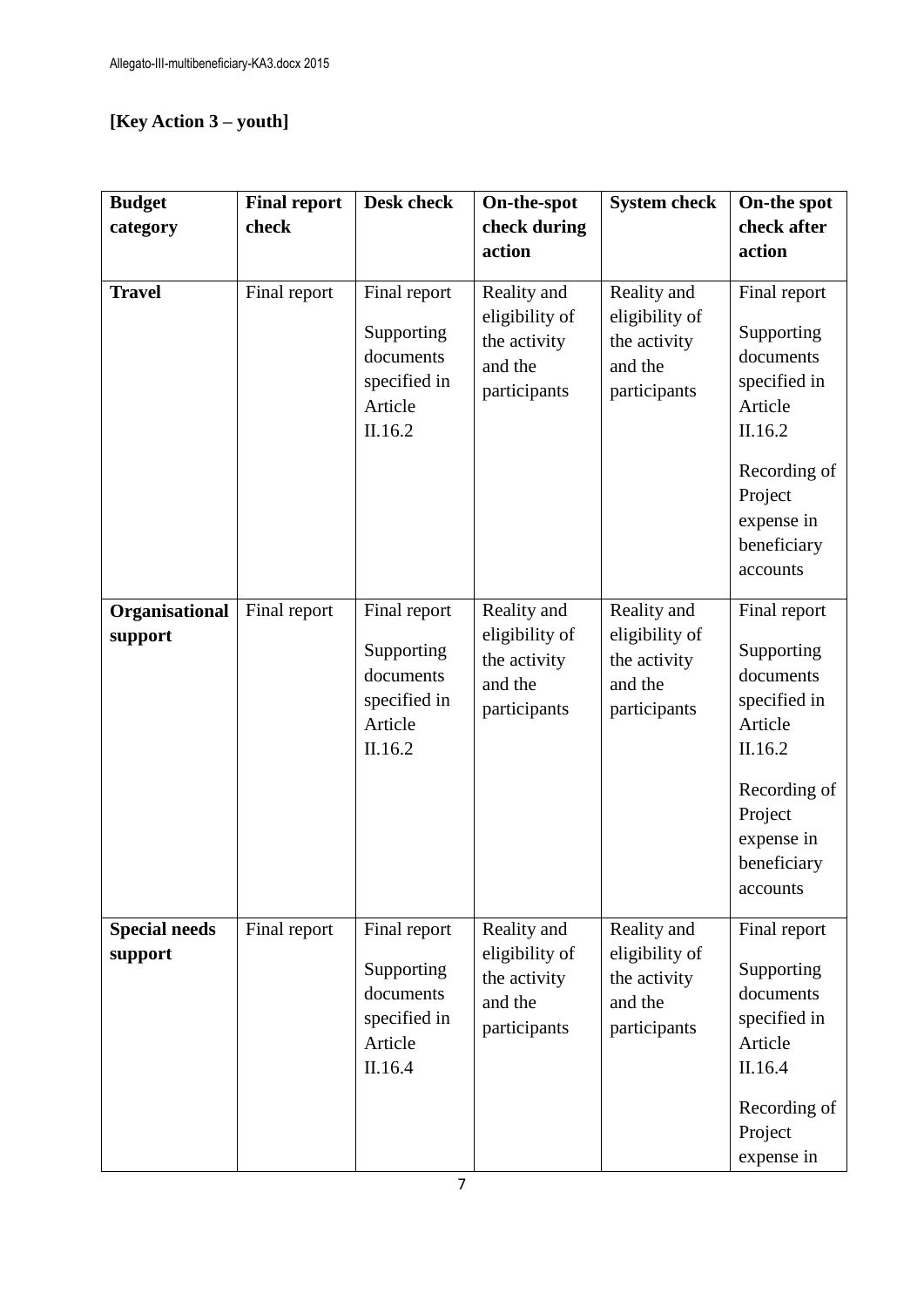# **[Key Action 3 – youth]**

| <b>Budget</b>                   | <b>Final report</b> | <b>Desk check</b>                                                             | On-the-spot                                                              | <b>System check</b>                                                      | On-the spot                                                                                                                                       |
|---------------------------------|---------------------|-------------------------------------------------------------------------------|--------------------------------------------------------------------------|--------------------------------------------------------------------------|---------------------------------------------------------------------------------------------------------------------------------------------------|
| category                        | check               |                                                                               | check during                                                             |                                                                          | check after                                                                                                                                       |
|                                 |                     |                                                                               | action                                                                   |                                                                          | action                                                                                                                                            |
| <b>Travel</b>                   | Final report        | Final report<br>Supporting<br>documents<br>specified in<br>Article<br>II.16.2 | Reality and<br>eligibility of<br>the activity<br>and the<br>participants | Reality and<br>eligibility of<br>the activity<br>and the<br>participants | Final report<br>Supporting<br>documents<br>specified in<br>Article<br>II.16.2<br>Recording of<br>Project<br>expense in<br>beneficiary<br>accounts |
| Organisational<br>support       | Final report        | Final report<br>Supporting<br>documents<br>specified in<br>Article<br>II.16.2 | Reality and<br>eligibility of<br>the activity<br>and the<br>participants | Reality and<br>eligibility of<br>the activity<br>and the<br>participants | Final report<br>Supporting<br>documents<br>specified in<br>Article<br>II.16.2<br>Recording of<br>Project<br>expense in<br>beneficiary<br>accounts |
| <b>Special needs</b><br>support | Final report        | Final report<br>Supporting<br>documents<br>specified in<br>Article<br>II.16.4 | Reality and<br>eligibility of<br>the activity<br>and the<br>participants | Reality and<br>eligibility of<br>the activity<br>and the<br>participants | Final report<br>Supporting<br>documents<br>specified in<br>Article<br>II.16.4<br>Recording of<br>Project<br>expense in                            |